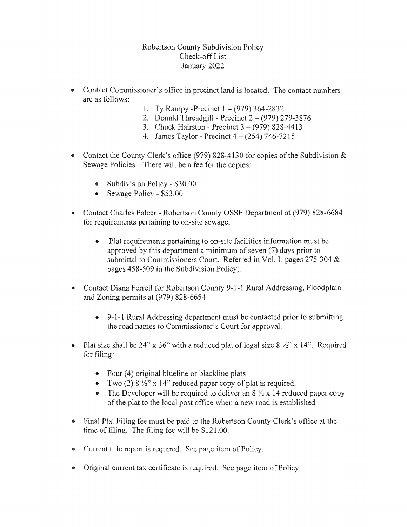Robertson County Subdivision Check-off List January 2022

- Contact Commissioner's office in precinct land is located. The contact numbers are as follows:
	- 1. Ty Rampy -Precinct  $1 (979)$  364-2832
	- 2. Donald Threadgill Precinct  $2 (979)$  279-3876
	- 3. Chuck Hairston Precinct 3 (979) 828-4413
	- 4. James Taylor Precinct  $4 (254)$  746-7215
- Contact the County Clerk's office (979) 828-4130 for copies of the Subdivision  $\&$ Sewage Policies. There will be a fee for the copies:
	- $\bullet$  Subdivision Policy \$30.00
	- $\bullet$  Sewage Policy \$53.00
- Contact Charles Palcer Robertson County OSSF Department at (979) 828-6684 for requirements pertaining to on-site sewage.
	- Plat requirements pertaining to on-site facilities information must be approved by this department a minimum of seven  $(7)$  days prior to submittal to Commissioners Court. Referred in Vol. L pages  $275-304 \&$ pages 458-509 in the Subdivision Policy).
- Contact Diana Ferrell for Robertson County 9-1-1 Rural Addressing, Floodplain and Zoning permits at (979) 828-6654
	- $\bullet$  9-1-1 Rural Addressing department must be contacted prior to submitting the road names to Commissioner's Court
- . Plat size shall be 24" x 36" with a reduced plat of legal size  $8\frac{1}{2}$ " x 14". Required for filing:
	- Four  $(4)$  original blueline or blackline plats
	- Two (2)  $8\frac{1}{2}$  x 14" reduced paper copy of plat is required.
	- The Developer will be required to deliver an  $8\frac{1}{2} \times 14$  reduced paper copy of the plat to the local post office when a new road is established
- Final Plat Filing fee must be paid to the Robertson County Clerk's office at the time of filing. The filing fee will be  $$121.00$ .
- Current title report is required. See page item of Policy.
- Original current tax certificate is required. See page item of Policy.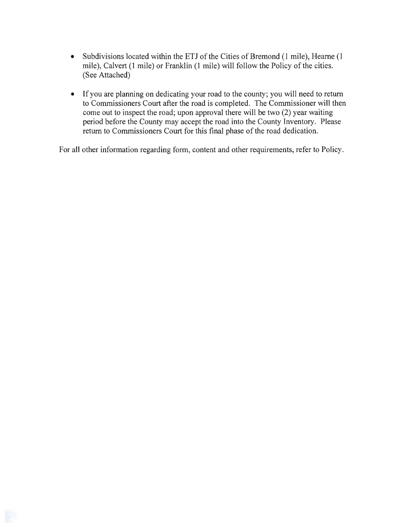- Subdivisions located within the ETJ of the Cities of Bremond (1 mile), Hearne (1 mile), Calvert (1 mile) or Franklin (1 mile) will follow the Policy of the cities. (See Attached)
- If you are planning on dedicating your road to the county; you will need to return to Commissioners Court after the road is completed. The Commissioner will then come out to inspect the road; upon approval there will be two (2) year waiting period before the County may accept the road into the County Inventory. Please return to Commissioners Court for this final phase of the road dedication.

For all other information regarding form, content and other requirements, refer to Policy.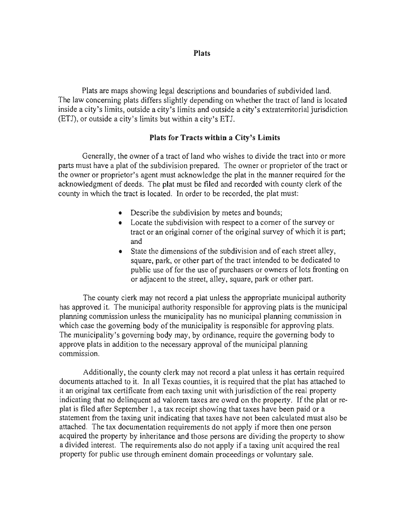Plats

Plats are maps showing legal descriptions and boundaries of subdivided land. The law concerning plats differs slightly depending on whether the tract of land is located inside a city's limits, outside a city's limits and outside a city's extraterritorial jurisdiction (ETJ), or outside a city's limits but within a city's

## Plats for Tracts within a City's Limits

Generally, the owner of a tract of land who wishes to divide the tract into or more parts must have a plat of the subdivision prepared. The owner or proprietor of the tract or the owner or proprietor's agent must acknowledge the plat in the manner required for the acknowledgment of deeds. The plat must be filed and recorded with county clerk of the county in which the tract is located. In order to be recorded, the plat must:

- Describe the subdivision by metes and bounds;
- Locate the subdivision with respect to a corner of the survey or tract or an original comer of the original survey of which it is and
- State the dimensions of the subdivision and of each street alley, square, park, or other part of the tract intended to be dedicated to public use of for the use of purchasers or owners of lots fronting on or adjacent to the street, alley, square, park or other part.

The county clerk may not record a plat unless the appropriate municipal authority has approved it. The municipal authority responsible for approving plats is the municipal planning commission unless the municipality has no municipal planning commission in which case the governing body of the municipality is responsible for approving plats. The municipality's governing body may, by ordinance, require the governing body to approve plats in addition to the necessary approval of the municipal planning commission.

Additionally, the county clerk may not record a plat unless it has certain required documents attached to it. In all Texas counties, it is required that the plat has attached to it an original tax certificate from each taxing unit with jurisdiction of the real property indicating that no delinquent ad valorem taxes are owed on the property. If the plat or replat is filed after September 1, a tax receipt showing that taxes have been paid or a statement from the taxing unit indicating that taxes have not been calculated must also be attached. The tax documentation requirements do not apply if more then one person acquired the property by inheritance and those persons are dividing the property to show a divided interest. The requirements also do not apply if a taxing unit acquired the real property for public use through eminent domain proceedings or voluntary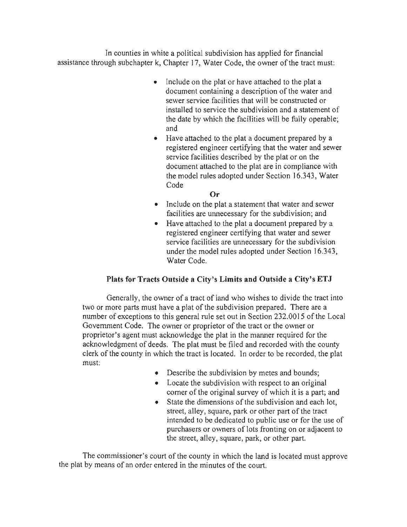In counties in white a political subdivision has applied for financial assistance through subchapter k, Chapter 17, Water Code, the owner of the tract must:

- Include on the plat or have attached to the plat a document containing a description of the water and sewer service facilities that will be constructed or installed to service the subdivision and a statement the date by which the facilities will be fully operable; and
- Have attached to the plat a document prepared by a registered engineer certifying that the water and sewer service facilities described by the plat or on the document attached to the plat are in compliance with the model rules adopted under Section 16.343, Water Code

## Or

- Include on the plat a statement that water and sewer facilities are unnecessary for the subdivision; and
- Have attached to the plat a document prepared by a registered engineer certifying that water and sewer service facilities are unnecessary for the subdivision under the model rules adopted under Section 16.343, Water Code.

## Plats for Tracts Outside a City's Limits and Outside a City's ETJ

Generally, the owner of a tract of land who wishes to divide the tract into two or more parts must have a plat of the subdivision prepared. There are a number of exceptions to this general rule set out in Section 232,0015 of the Local Government Code. The owner or proprietor of the tract or the owner or proprietor's agent must acknowledge the plat in the manner required for the acknowledgment of deeds. The plat must be filed and recorded with the county clerk of the county in which the tract is located. In order to be recorded, the plat must:

- Describe the subdivision by metes and bounds;
- $\bullet$  Locate the subdivision with respect to an original comer of the original survey of which it is a part; and
- State the dimensions of the subdivision and each lot,  $\bullet$ street, alley, square, park or other part of the tract intended to be dedicated to public use or for the use of purchasers or owners of lots fronting on or adjacent to the street, alley, square, park, or other part.

The commissioner's court of the county in which the land is located must approve the plat by means of an order entered in the minutes of the court.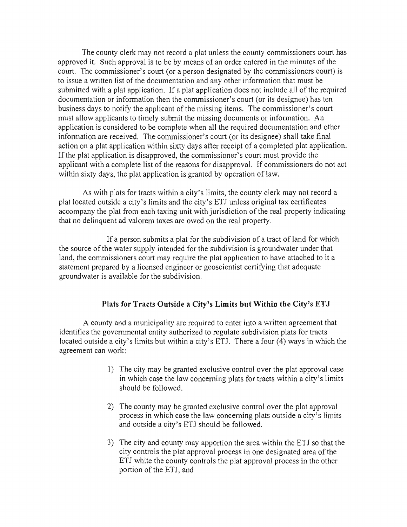The county clerk may not record a plat unless the county commissioners court has approved it. Such approval is to be by means of an order entered in the minutes of the court. The commissioner's court (or a person designated by the commissioners court) is to issue a written list of the documentation and any other information that must be submitted with a plat application. If a plat application does not include all of the required documentation or information then the commissioner's court (or its designee) has ten business days to notify the applicant of the missing items. The commissioner's court must allow applicants to timely submit the missing documents or information. An application is considered to be complete when all the required documentation and other information are received. The commissioner's court (or its designee) shall take final action on a plat application within sixty days after receipt of a completed plat application. If the plat application is disapproved, the commissioner's court must provide the applicant with a complete list of the reasons for disapproval. If commissioners do not act within sixty days, the plat application is granted by operation of law.

As with plats for tracts within a city's limits, the county clerk may not record a plat located outside a city's limits and the city's ETJ unless original tax certificates accompany the plat from each taxing unit with jurisdiction of the real property indicating that no delinquent ad valorem taxes are owed on the real property.

If a person submits a plat for the subdivision of a tract of land for which the source of the water supply intended for the subdivision is groundwater under that land, the commissioners court may require the plat application to have attached to it a statement prepared by a licensed engineer or geoscientist certifying that adequate groundwater is available for the subdivision.

## Plats for Tracts Outside a City's Limits but Within the City's ET J

A county and a municipality are required to enter into a written agreement that identifies the governmental entity authorized to regulate subdivision plats for tracts located outside a city's limits but within a city's ETJ. There a four (4) ways in which the agreement can work:

- 1) The city may be granted exclusive control over the plat approval case in which case the law concerning plats for tracts within a city's limits should be followed.
- 2) The county may be granted exclusive control over the plat approval process in which case the law concerning plats outside a city's limits and outside a city's ETJ should be followed.
- 3) The city and county may apportion the area within the ETJ so that the city controls the plat approval process in one designated area of the ETJ white the county controls the plat approval process in the other portion of the ETJ; and